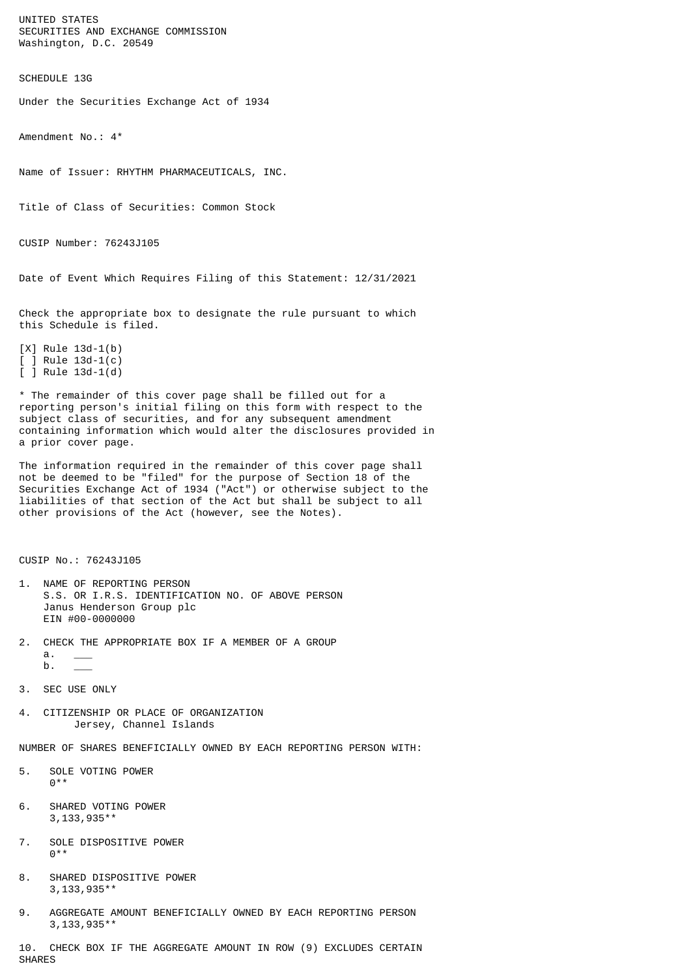UNITED STATES SECURITIES AND EXCHANGE COMMISSION Washington, D.C. 20549

SCHEDULE 13G

Under the Securities Exchange Act of 1934

Amendment No.: 4\*

Name of Issuer: RHYTHM PHARMACEUTICALS, INC.

Title of Class of Securities: Common Stock

CUSIP Number: 76243J105

Date of Event Which Requires Filing of this Statement: 12/31/2021

Check the appropriate box to designate the rule pursuant to which this Schedule is filed.

[X] Rule 13d-1(b)  $[ ]$  Rule 13d-1(c) [ ] Rule 13d-1(d)

\* The remainder of this cover page shall be filled out for a reporting person's initial filing on this form with respect to the subject class of securities, and for any subsequent amendment containing information which would alter the disclosures provided in a prior cover page.

The information required in the remainder of this cover page shall not be deemed to be "filed" for the purpose of Section 18 of the Securities Exchange Act of 1934 ("Act") or otherwise subject to the liabilities of that section of the Act but shall be subject to all other provisions of the Act (however, see the Notes).

CUSIP No.: 76243J105

- 1. NAME OF REPORTING PERSON S.S. OR I.R.S. IDENTIFICATION NO. OF ABOVE PERSON Janus Henderson Group plc EIN #00-0000000
- 2. CHECK THE APPROPRIATE BOX IF A MEMBER OF A GROUP  $a$ .
	- $b$ .
- 3. SEC USE ONLY
- 4. CITIZENSHIP OR PLACE OF ORGANIZATION Jersey, Channel Islands

NUMBER OF SHARES BENEFICIALLY OWNED BY EACH REPORTING PERSON WITH:

- 5. SOLE VOTING POWER  $0***$
- 6. SHARED VOTING POWER 3,133,935\*\*
- 7. SOLE DISPOSITIVE POWER  $0^*$
- 8. SHARED DISPOSITIVE POWER 3,133,935\*\*
- 9. AGGREGATE AMOUNT BENEFICIALLY OWNED BY EACH REPORTING PERSON 3,133,935\*\*

10. CHECK BOX IF THE AGGREGATE AMOUNT IN ROW (9) EXCLUDES CERTAIN SHARES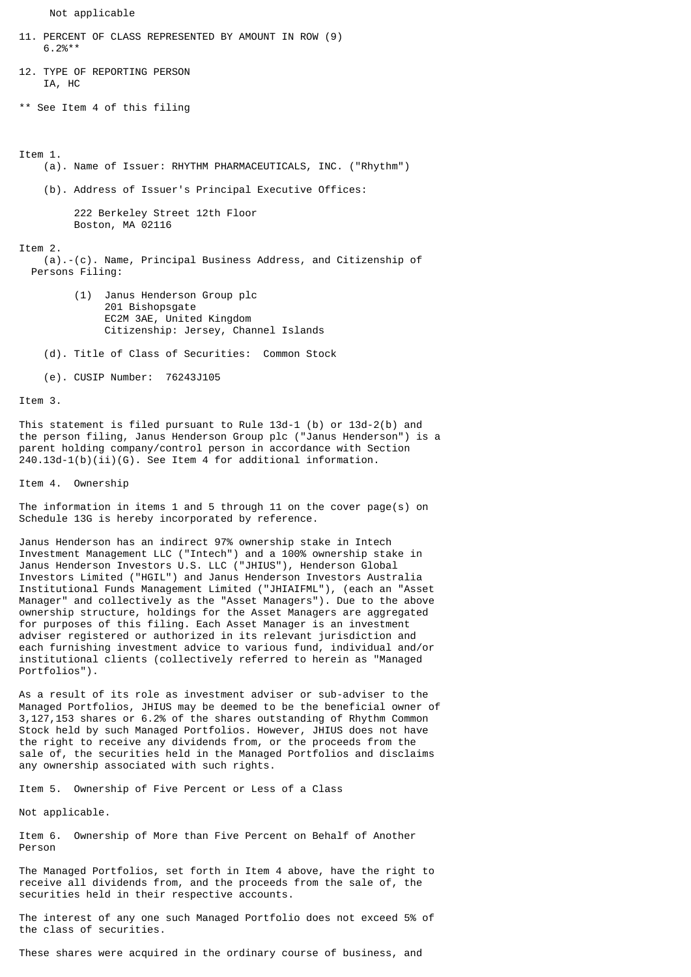Not applicable

- 11. PERCENT OF CLASS REPRESENTED BY AMOUNT IN ROW (9)  $6.2%$ \*\*
- 12. TYPE OF REPORTING PERSON IA, HC

\*\* See Item 4 of this filing

Item 1.

(a). Name of Issuer: RHYTHM PHARMACEUTICALS, INC. ("Rhythm")

(b). Address of Issuer's Principal Executive Offices:

 222 Berkeley Street 12th Floor Boston, MA 02116

Item 2.

- (a).-(c). Name, Principal Business Address, and Citizenship of Persons Filing:
	- (1) Janus Henderson Group plc 201 Bishopsgate EC2M 3AE, United Kingdom Citizenship: Jersey, Channel Islands
	- (d). Title of Class of Securities: Common Stock

(e). CUSIP Number: 76243J105

Item 3.

This statement is filed pursuant to Rule 13d-1 (b) or 13d-2(b) and the person filing, Janus Henderson Group plc ("Janus Henderson") is a parent holding company/control person in accordance with Section  $240.13d-1(b)(ii)(G)$ . See Item 4 for additional information.

Item 4. Ownership

The information in items 1 and 5 through 11 on the cover page(s) on Schedule 13G is hereby incorporated by reference.

Janus Henderson has an indirect 97% ownership stake in Intech Investment Management LLC ("Intech") and a 100% ownership stake in Janus Henderson Investors U.S. LLC ("JHIUS"), Henderson Global Investors Limited ("HGIL") and Janus Henderson Investors Australia Institutional Funds Management Limited ("JHIAIFML"), (each an "Asset Manager" and collectively as the "Asset Managers"). Due to the above ownership structure, holdings for the Asset Managers are aggregated for purposes of this filing. Each Asset Manager is an investment adviser registered or authorized in its relevant jurisdiction and each furnishing investment advice to various fund, individual and/or institutional clients (collectively referred to herein as "Managed Portfolios").

As a result of its role as investment adviser or sub-adviser to the Managed Portfolios, JHIUS may be deemed to be the beneficial owner of 3,127,153 shares or 6.2% of the shares outstanding of Rhythm Common Stock held by such Managed Portfolios. However, JHIUS does not have the right to receive any dividends from, or the proceeds from the sale of, the securities held in the Managed Portfolios and disclaims any ownership associated with such rights.

Item 5. Ownership of Five Percent or Less of a Class

Not applicable.

Item 6. Ownership of More than Five Percent on Behalf of Another Person

The Managed Portfolios, set forth in Item 4 above, have the right to receive all dividends from, and the proceeds from the sale of, the securities held in their respective accounts.

The interest of any one such Managed Portfolio does not exceed 5% of the class of securities.

These shares were acquired in the ordinary course of business, and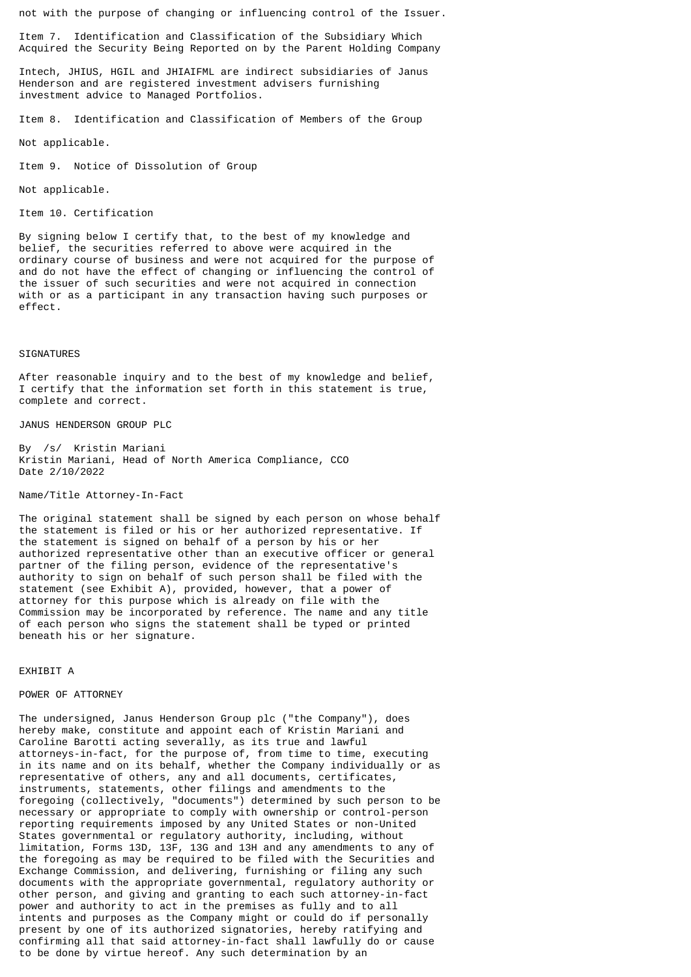not with the purpose of changing or influencing control of the Issuer.

Item 7. Identification and Classification of the Subsidiary Which Acquired the Security Being Reported on by the Parent Holding Company

Intech, JHIUS, HGIL and JHIAIFML are indirect subsidiaries of Janus Henderson and are registered investment advisers furnishing investment advice to Managed Portfolios.

Item 8. Identification and Classification of Members of the Group

Not applicable.

Item 9. Notice of Dissolution of Group

Not applicable.

Item 10. Certification

By signing below I certify that, to the best of my knowledge and belief, the securities referred to above were acquired in the ordinary course of business and were not acquired for the purpose of and do not have the effect of changing or influencing the control of the issuer of such securities and were not acquired in connection with or as a participant in any transaction having such purposes or effect.

## SIGNATURES

After reasonable inquiry and to the best of my knowledge and belief, I certify that the information set forth in this statement is true, complete and correct.

JANUS HENDERSON GROUP PLC

By /s/ Kristin Mariani Kristin Mariani, Head of North America Compliance, CCO Date 2/10/2022

Name/Title Attorney-In-Fact

The original statement shall be signed by each person on whose behalf the statement is filed or his or her authorized representative. If the statement is signed on behalf of a person by his or her authorized representative other than an executive officer or general partner of the filing person, evidence of the representative's authority to sign on behalf of such person shall be filed with the statement (see Exhibit A), provided, however, that a power of attorney for this purpose which is already on file with the Commission may be incorporated by reference. The name and any title of each person who signs the statement shall be typed or printed beneath his or her signature.

EXHIBIT A

## POWER OF ATTORNEY

The undersigned, Janus Henderson Group plc ("the Company"), does hereby make, constitute and appoint each of Kristin Mariani and Caroline Barotti acting severally, as its true and lawful attorneys-in-fact, for the purpose of, from time to time, executing in its name and on its behalf, whether the Company individually or as representative of others, any and all documents, certificates, instruments, statements, other filings and amendments to the foregoing (collectively, "documents") determined by such person to be necessary or appropriate to comply with ownership or control-person reporting requirements imposed by any United States or non-United States governmental or regulatory authority, including, without limitation, Forms 13D, 13F, 13G and 13H and any amendments to any of the foregoing as may be required to be filed with the Securities and Exchange Commission, and delivering, furnishing or filing any such documents with the appropriate governmental, regulatory authority or other person, and giving and granting to each such attorney-in-fact power and authority to act in the premises as fully and to all intents and purposes as the Company might or could do if personally present by one of its authorized signatories, hereby ratifying and confirming all that said attorney-in-fact shall lawfully do or cause to be done by virtue hereof. Any such determination by an